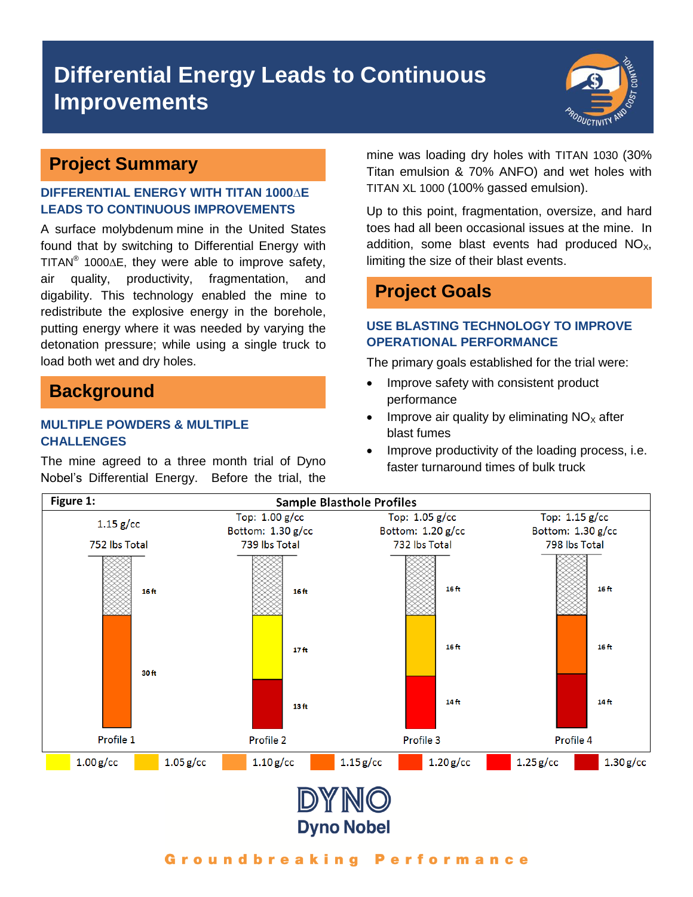# **Differential Energy Leads to Continuous Improvements**



# **Project Summary**

## **DIFFERENTIAL ENERGY WITH TITAN 1000∆E LEADS TO CONTINUOUS IMPROVEMENTS**

A surface molybdenum mine in the United States found that by switching to Differential Energy with TITAN<sup>®</sup> 1000 $\Delta$ E, they were able to improve safety, air quality, productivity, fragmentation, and digability. This technology enabled the mine to redistribute the explosive energy in the borehole, putting energy where it was needed by varying the detonation pressure; while using a single truck to load both wet and dry holes.

# **Background**

## **MULTIPLE POWDERS & MULTIPLE CHALLENGES**

The mine agreed to a three month trial of Dyno Nobel's Differential Energy. Before the trial, the mine was loading dry holes with TITAN 1030 (30% Titan emulsion & 70% ANFO) and wet holes with TITAN XL 1000 (100% gassed emulsion).

Up to this point, fragmentation, oversize, and hard toes had all been occasional issues at the mine. In addition, some blast events had produced  $NO<sub>x</sub>$ , limiting the size of their blast events.

# **Project Goals**

## **USE BLASTING TECHNOLOGY TO IMPROVE OPERATIONAL PERFORMANCE**

The primary goals established for the trial were:

- Improve safety with consistent product performance
- Improve air quality by eliminating  $NO<sub>x</sub>$  after blast fumes
- Improve productivity of the loading process, i.e. faster turnaround times of bulk truck



#### Groundbreaking Performance